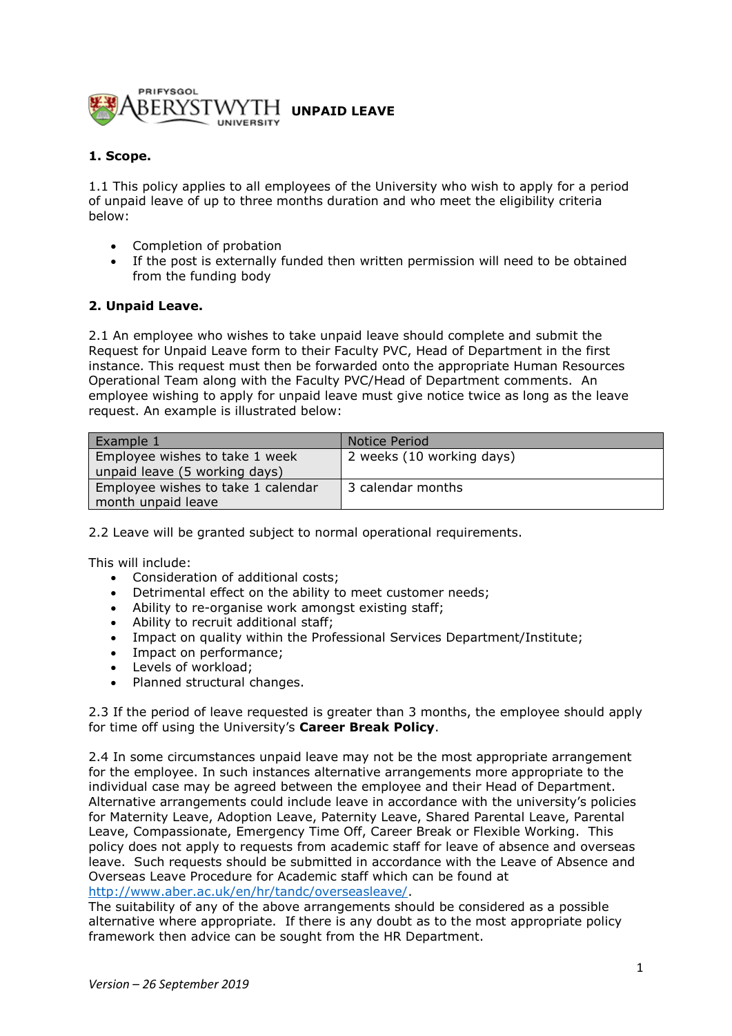

## **1. Scope.**

1.1 This policy applies to all employees of the University who wish to apply for a period of unpaid leave of up to three months duration and who meet the eligibility criteria below:

- Completion of probation
- If the post is externally funded then written permission will need to be obtained from the funding body

#### **2. Unpaid Leave.**

2.1 An employee who wishes to take unpaid leave should complete and submit the Request for Unpaid Leave form to their Faculty PVC, Head of Department in the first instance. This request must then be forwarded onto the appropriate Human Resources Operational Team along with the Faculty PVC/Head of Department comments. An employee wishing to apply for unpaid leave must give notice twice as long as the leave request. An example is illustrated below:

| Example 1                                                       | Notice Period             |
|-----------------------------------------------------------------|---------------------------|
| Employee wishes to take 1 week<br>unpaid leave (5 working days) | 2 weeks (10 working days) |
| Employee wishes to take 1 calendar                              | 3 calendar months         |
| month unpaid leave                                              |                           |

2.2 Leave will be granted subject to normal operational requirements.

This will include:

- Consideration of additional costs;
- Detrimental effect on the ability to meet customer needs;
- Ability to re-organise work amongst existing staff;
- Ability to recruit additional staff;
- Impact on quality within the Professional Services Department/Institute;
- Impact on performance;
- Levels of workload;
- Planned structural changes.

2.3 If the period of leave requested is greater than 3 months, the employee should apply for time off using the University's **Career Break Policy**.

2.4 In some circumstances unpaid leave may not be the most appropriate arrangement for the employee. In such instances alternative arrangements more appropriate to the individual case may be agreed between the employee and their Head of Department. Alternative arrangements could include leave in accordance with the university's policies for Maternity Leave, Adoption Leave, Paternity Leave, Shared Parental Leave, Parental Leave, Compassionate, Emergency Time Off, Career Break or Flexible Working. This policy does not apply to requests from academic staff for leave of absence and overseas leave. Such requests should be submitted in accordance with the Leave of Absence and Overseas Leave Procedure for Academic staff which can be found at [http://www.aber.ac.uk/en/hr/tandc/overseasleave/.](http://www.aber.ac.uk/en/hr/tandc/overseasleave/)

The suitability of any of the above arrangements should be considered as a possible alternative where appropriate. If there is any doubt as to the most appropriate policy framework then advice can be sought from the HR Department.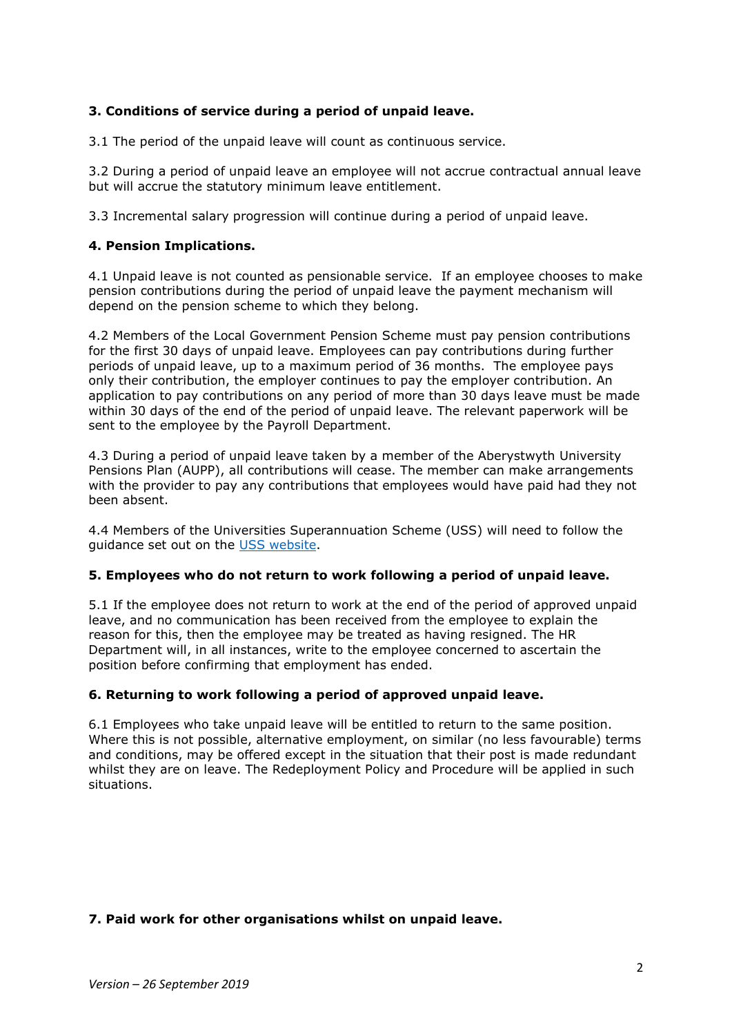# **3. Conditions of service during a period of unpaid leave.**

3.1 The period of the unpaid leave will count as continuous service.

3.2 During a period of unpaid leave an employee will not accrue contractual annual leave but will accrue the statutory minimum leave entitlement.

3.3 Incremental salary progression will continue during a period of unpaid leave.

## **4. Pension Implications.**

4.1 Unpaid leave is not counted as pensionable service. If an employee chooses to make pension contributions during the period of unpaid leave the payment mechanism will depend on the pension scheme to which they belong.

4.2 Members of the Local Government Pension Scheme must pay pension contributions for the first 30 days of unpaid leave. Employees can pay contributions during further periods of unpaid leave, up to a maximum period of 36 months. The employee pays only their contribution, the employer continues to pay the employer contribution. An application to pay contributions on any period of more than 30 days leave must be made within 30 days of the end of the period of unpaid leave. The relevant paperwork will be sent to the employee by the Payroll Department.

4.3 During a period of unpaid leave taken by a member of the Aberystwyth University Pensions Plan (AUPP), all contributions will cease. The member can make arrangements with the provider to pay any contributions that employees would have paid had they not been absent.

4.4 Members of the Universities Superannuation Scheme (USS) will need to follow the guidance set out on the USS [website.](https://www.uss.co.uk/)

#### **5. Employees who do not return to work following a period of unpaid leave.**

5.1 If the employee does not return to work at the end of the period of approved unpaid leave, and no communication has been received from the employee to explain the reason for this, then the employee may be treated as having resigned. The HR Department will, in all instances, write to the employee concerned to ascertain the position before confirming that employment has ended.

#### **6. Returning to work following a period of approved unpaid leave.**

6.1 Employees who take unpaid leave will be entitled to return to the same position. Where this is not possible, alternative employment, on similar (no less favourable) terms and conditions, may be offered except in the situation that their post is made redundant whilst they are on leave. The Redeployment Policy and Procedure will be applied in such situations.

#### **7. Paid work for other organisations whilst on unpaid leave.**